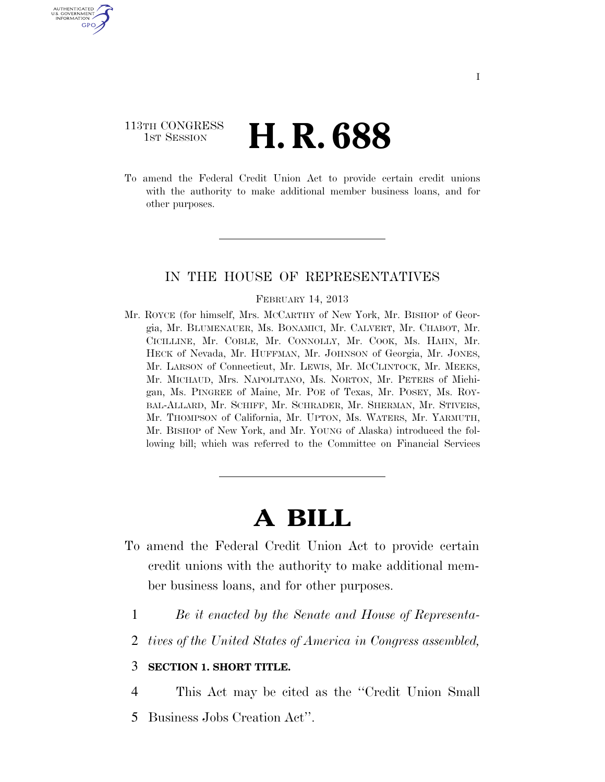## 113TH CONGRESS **1st Session H. R. 688**

U.S. GOVERNMENT<br>INFORMATION GPO

> To amend the Federal Credit Union Act to provide certain credit unions with the authority to make additional member business loans, and for other purposes.

### IN THE HOUSE OF REPRESENTATIVES

#### FEBRUARY 14, 2013

Mr. ROYCE (for himself, Mrs. MCCARTHY of New York, Mr. BISHOP of Georgia, Mr. BLUMENAUER, Ms. BONAMICI, Mr. CALVERT, Mr. CHABOT, Mr. CICILLINE, Mr. COBLE, Mr. CONNOLLY, Mr. COOK, Ms. HAHN, Mr. HECK of Nevada, Mr. HUFFMAN, Mr. JOHNSON of Georgia, Mr. JONES, Mr. LARSON of Connecticut, Mr. LEWIS, Mr. MCCLINTOCK, Mr. MEEKS, Mr. MICHAUD, Mrs. NAPOLITANO, Ms. NORTON, Mr. PETERS of Michigan, Ms. PINGREE of Maine, Mr. POE of Texas, Mr. POSEY, Ms. ROY-BAL-ALLARD, Mr. SCHIFF, Mr. SCHRADER, Mr. SHERMAN, Mr. STIVERS, Mr. THOMPSON of California, Mr. UPTON, Ms. WATERS, Mr. YARMUTH, Mr. BISHOP of New York, and Mr. YOUNG of Alaska) introduced the following bill; which was referred to the Committee on Financial Services

# **A BILL**

- To amend the Federal Credit Union Act to provide certain credit unions with the authority to make additional member business loans, and for other purposes.
	- 1 *Be it enacted by the Senate and House of Representa-*
	- 2 *tives of the United States of America in Congress assembled,*

### 3 **SECTION 1. SHORT TITLE.**

- 4 This Act may be cited as the ''Credit Union Small
- 5 Business Jobs Creation Act''.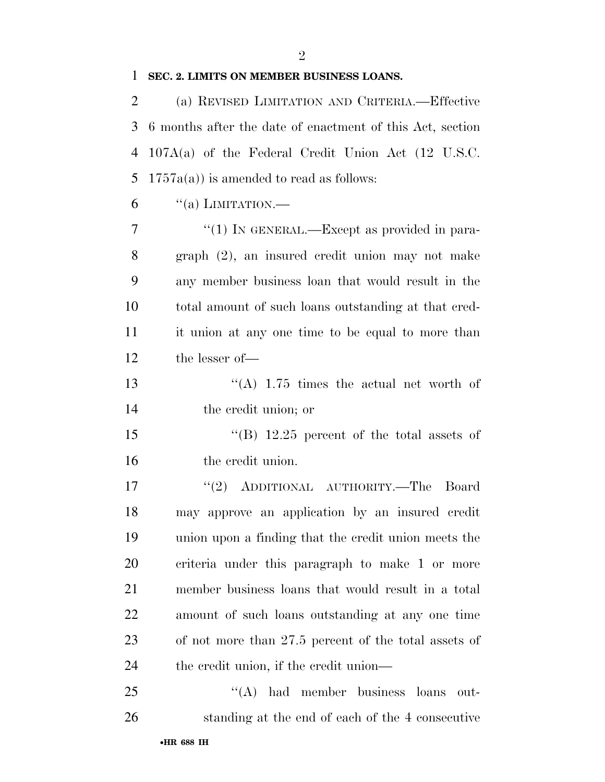## **SEC. 2. LIMITS ON MEMBER BUSINESS LOANS.**

| $\overline{2}$ | (a) REVISED LIMITATION AND CRITERIA.-Effective            |
|----------------|-----------------------------------------------------------|
| 3              | 6 months after the date of enactment of this Act, section |
| 4              | $107A(a)$ of the Federal Credit Union Act (12 U.S.C.      |
| 5              | $1757a(a)$ is amended to read as follows:                 |
| 6              | $``(a)$ LIMITATION.—                                      |
| 7              | "(1) IN GENERAL.—Except as provided in para-              |
| 8              | graph (2), an insured credit union may not make           |
| 9              | any member business loan that would result in the         |
| 10             | total amount of such loans outstanding at that cred-      |
| 11             | it union at any one time to be equal to more than         |
| 12             | the lesser of-                                            |
| 13             | "(A) $1.75$ times the actual net worth of                 |
| 14             | the credit union; or                                      |
| 15             | "(B) $12.25$ percent of the total assets of               |
| 16             | the credit union.                                         |
| 17             | "(2) ADDITIONAL AUTHORITY.—The Board                      |
| 18             | may approve an application by an insured credit           |
| 19             | union upon a finding that the credit union meets the      |
| 20             | criteria under this paragraph to make 1 or more           |
| 21             | member business loans that would result in a total        |
| 22             | amount of such loans outstanding at any one time          |
| 23             | of not more than 27.5 percent of the total assets of      |
| 24             | the credit union, if the credit union—                    |
| 25             | $\lq\lq (A)$<br>had member business loans<br>out-         |
| 26             | standing at the end of each of the 4 consecutive          |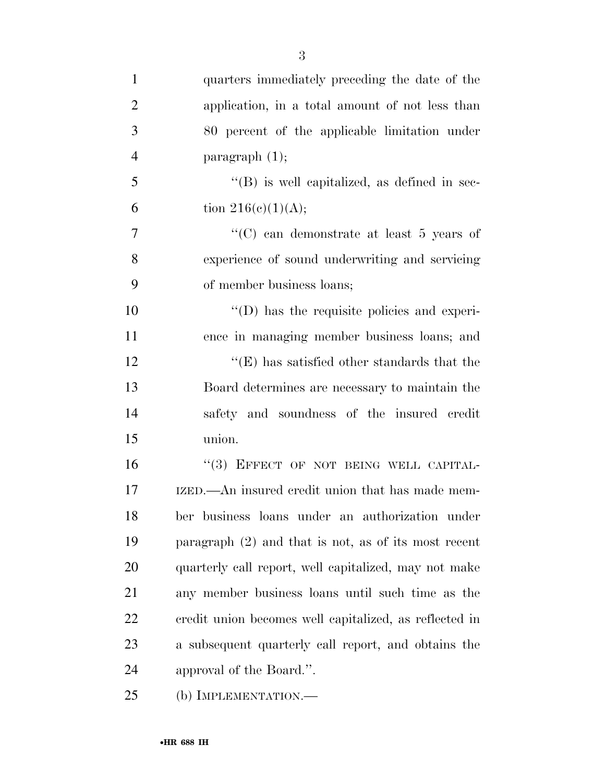| $\mathbf{1}$   | quarters immediately preceding the date of the         |
|----------------|--------------------------------------------------------|
| $\overline{2}$ | application, in a total amount of not less than        |
| 3              | 80 percent of the applicable limitation under          |
| $\overline{4}$ | paragraph $(1)$ ;                                      |
| 5              | $\lq\lq$ is well capitalized, as defined in sec-       |
| 6              | tion $216(c)(1)(A);$                                   |
| 7              | "(C) can demonstrate at least $5$ years of             |
| 8              | experience of sound underwriting and servicing         |
| 9              | of member business loans;                              |
| 10             | $\lq\lq$ (D) has the requisite policies and experi-    |
| 11             | ence in managing member business loans; and            |
| 12             | $\lq\lq$ (E) has satisfied other standards that the    |
| 13             | Board determines are necessary to maintain the         |
| 14             | safety and soundness of the insured credit             |
| 15             | union.                                                 |
| 16             | "(3) EFFECT OF NOT BEING WELL CAPITAL-                 |
| 17             | IZED.—An insured credit union that has made mem-       |
| 18             | ber business loans under an authorization under        |
| 19             | paragraph $(2)$ and that is not, as of its most recent |
| 20             | quarterly call report, well capitalized, may not make  |
| 21             | any member business loans until such time as the       |
| 22             | eredit union becomes well capitalized, as reflected in |
| 23             | a subsequent quarterly call report, and obtains the    |
| 24             | approval of the Board.".                               |

(b) IMPLEMENTATION.—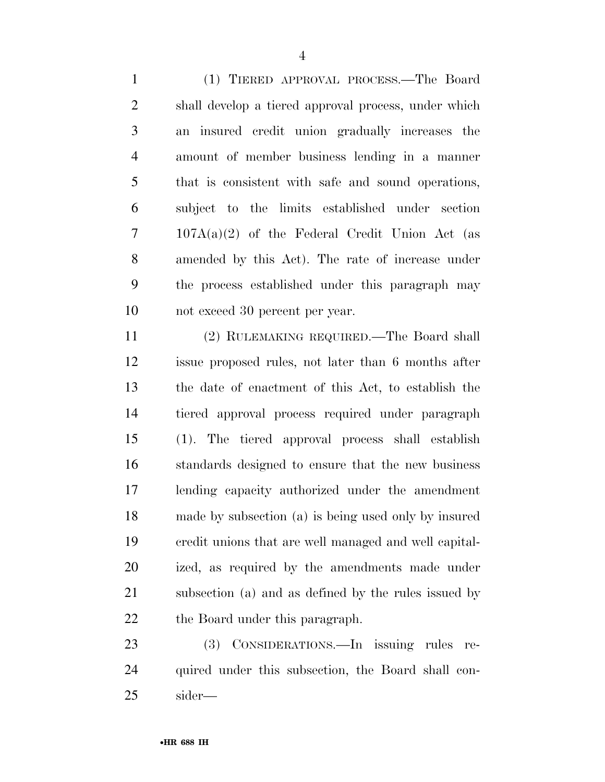(1) TIERED APPROVAL PROCESS.—The Board shall develop a tiered approval process, under which an insured credit union gradually increases the amount of member business lending in a manner that is consistent with safe and sound operations, subject to the limits established under section 107A(a)(2) of the Federal Credit Union Act (as amended by this Act). The rate of increase under the process established under this paragraph may not exceed 30 percent per year.

 (2) RULEMAKING REQUIRED.—The Board shall issue proposed rules, not later than 6 months after the date of enactment of this Act, to establish the tiered approval process required under paragraph (1). The tiered approval process shall establish standards designed to ensure that the new business lending capacity authorized under the amendment made by subsection (a) is being used only by insured credit unions that are well managed and well capital- ized, as required by the amendments made under subsection (a) and as defined by the rules issued by the Board under this paragraph.

 (3) CONSIDERATIONS.—In issuing rules re- quired under this subsection, the Board shall con-sider—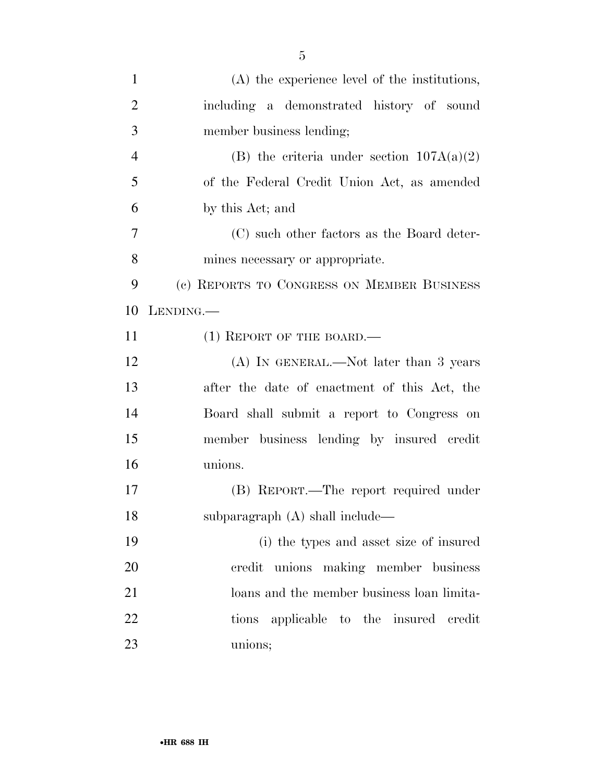| $\mathbf{1}$   | (A) the experience level of the institutions, |
|----------------|-----------------------------------------------|
| $\overline{2}$ | including a demonstrated history of sound     |
| 3              | member business lending;                      |
| $\overline{4}$ | (B) the criteria under section $107A(a)(2)$   |
| 5              | of the Federal Credit Union Act, as amended   |
| 6              | by this Act; and                              |
| 7              | (C) such other factors as the Board deter-    |
| 8              | mines necessary or appropriate.               |
| 9              | (c) REPORTS TO CONGRESS ON MEMBER BUSINESS    |
| 10             | LENDING.                                      |
| 11             | $(1)$ REPORT OF THE BOARD.—                   |
| 12             | $(A)$ In GENERAL.—Not later than 3 years      |
| 13             | after the date of enactment of this Act, the  |
| 14             | Board shall submit a report to Congress on    |
| 15             | member business lending by insured credit     |
| 16             | unions.                                       |
| 17             | (B) REPORT.—The report required under         |
| 18             | subparagraph (A) shall include—               |
| 19             | (i) the types and asset size of insured       |
| 20             | credit unions making member business          |
| 21             | loans and the member business loan limita-    |
| 22             | tions applicable to the insured credit        |
| 23             | unions;                                       |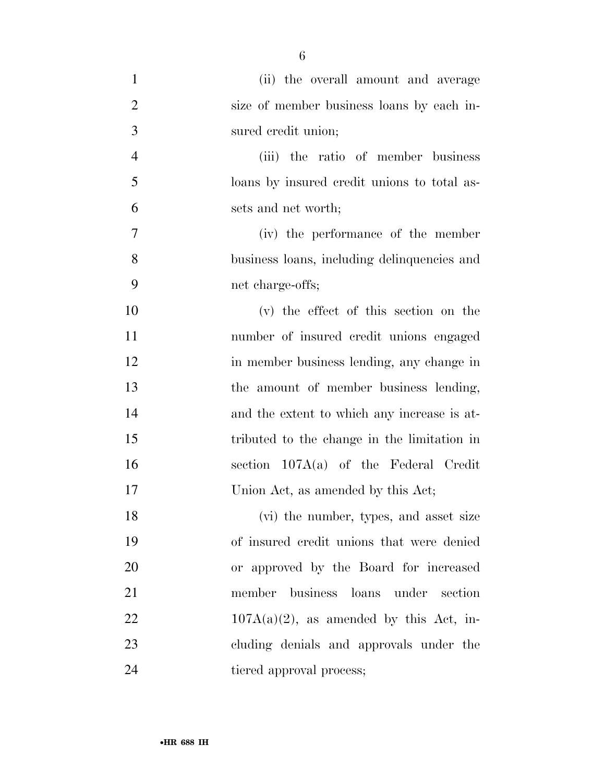| $\mathbf{1}$   | (ii) the overall amount and average         |
|----------------|---------------------------------------------|
| $\overline{2}$ | size of member business loans by each in-   |
| 3              | sured credit union;                         |
| $\overline{4}$ | (iii) the ratio of member business          |
| 5              | loans by insured credit unions to total as- |
| 6              | sets and net worth;                         |
| 7              | (iv) the performance of the member          |
| 8              | business loans, including delinquencies and |
| 9              | net charge-offs;                            |
| 10             | (v) the effect of this section on the       |
| 11             | number of insured credit unions engaged     |
| 12             | in member business lending, any change in   |
| 13             | the amount of member business lending,      |
| 14             | and the extent to which any increase is at- |
| 15             | tributed to the change in the limitation in |
| 16             | section $107A(a)$ of the Federal Credit     |
| 17             | Union Act, as amended by this Act;          |
| 18             | (vi) the number, types, and asset size      |
| 19             | of insured credit unions that were denied   |
| 20             | or approved by the Board for increased      |
| 21             | member business loans under section         |
| 22             | $107A(a)(2)$ , as amended by this Act, in-  |
| 23             | cluding denials and approvals under the     |
| 24             | tiered approval process;                    |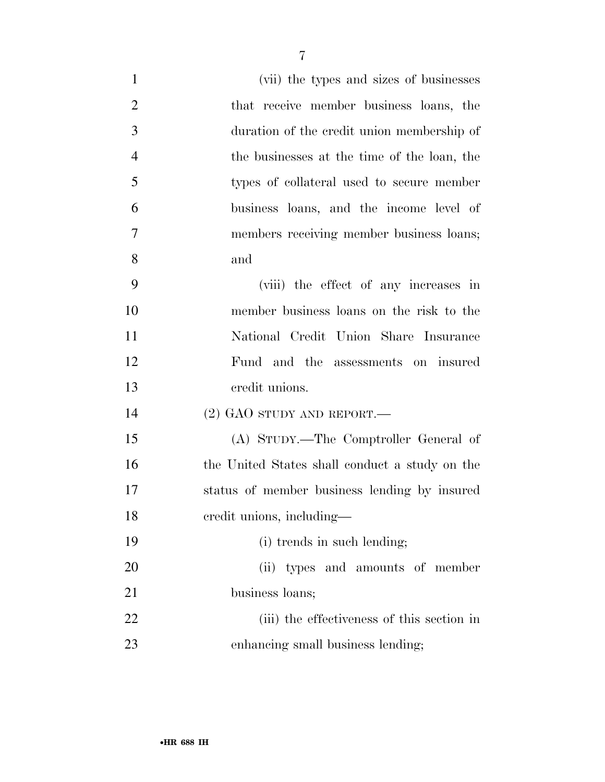| $\mathbf{1}$   | (vii) the types and sizes of businesses        |
|----------------|------------------------------------------------|
| $\overline{2}$ | that receive member business loans, the        |
| 3              | duration of the credit union membership of     |
| $\overline{4}$ | the businesses at the time of the loan, the    |
| 5              | types of collateral used to secure member      |
| 6              | business loans, and the income level of        |
| 7              | members receiving member business loans;       |
| 8              | and                                            |
| 9              | (viii) the effect of any increases in          |
| 10             | member business loans on the risk to the       |
| 11             | National Credit Union Share Insurance          |
| 12             | Fund and the assessments on insured            |
| 13             | credit unions.                                 |
| 14             | $(2)$ GAO STUDY AND REPORT.—                   |
| 15             | (A) STUDY.—The Comptroller General of          |
| 16             | the United States shall conduct a study on the |
| 17             | status of member business lending by insured   |
| 18             | credit unions, including-                      |
| 19             | (i) trends in such lending;                    |
| 20             | (ii) types and amounts of member               |
| 21             | business loans;                                |
| 22             | (iii) the effectiveness of this section in     |
| 23             | enhancing small business lending;              |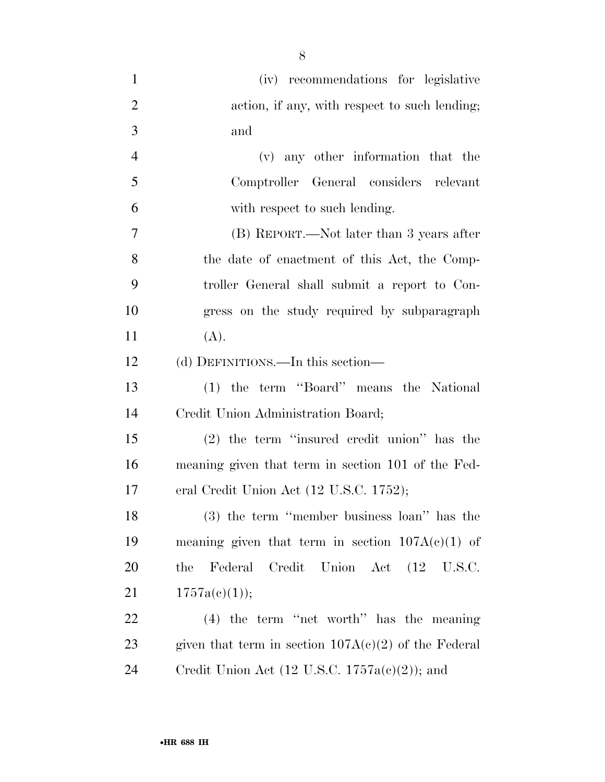| $\mathbf{1}$   | (iv) recommendations for legislative                      |
|----------------|-----------------------------------------------------------|
| $\overline{2}$ | action, if any, with respect to such lending;             |
| 3              | and                                                       |
| $\overline{4}$ | (v) any other information that the                        |
| 5              | Comptroller General considers relevant                    |
| 6              | with respect to such lending.                             |
| 7              | (B) REPORT.—Not later than 3 years after                  |
| 8              | the date of enactment of this Act, the Comp-              |
| 9              | troller General shall submit a report to Con-             |
| 10             | gress on the study required by subparagraph               |
| 11             | (A).                                                      |
| 12             | (d) DEFINITIONS.—In this section—                         |
| 13             | (1) the term "Board" means the National                   |
| 14             | Credit Union Administration Board;                        |
| 15             | $(2)$ the term "insured credit union" has the             |
| 16             | meaning given that term in section 101 of the Fed-        |
| 17             | eral Credit Union Act (12 U.S.C. 1752);                   |
| 18             | (3) the term "member business loan" has the               |
| 19             | meaning given that term in section $107A(c)(1)$ of        |
| 20             | Federal Credit Union Act (12 U.S.C.<br>the                |
| 21             | 1757a(c)(1));                                             |
| 22             | $(4)$ the term "net worth" has the meaning                |
| 23             | given that term in section $107A(c)(2)$ of the Federal    |
| 24             | Credit Union Act $(12 \text{ U.S.C. } 1757a(c)(2))$ ; and |